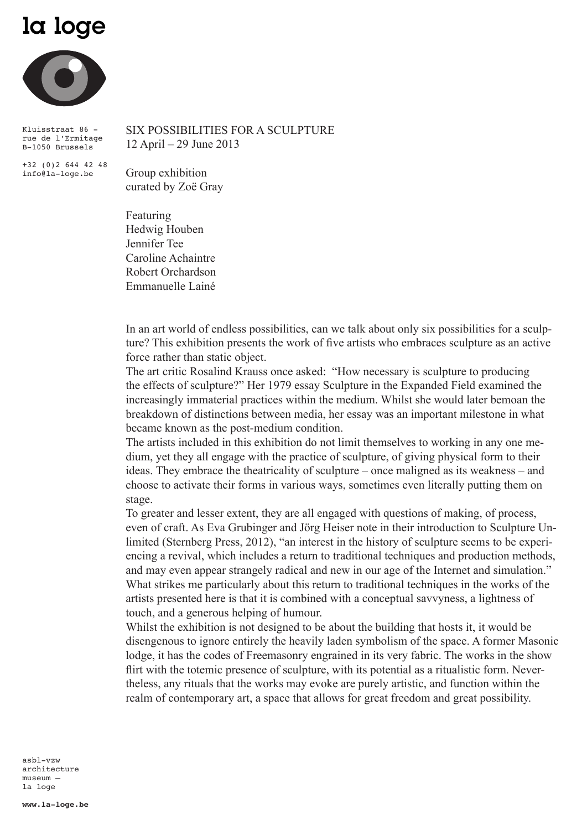## la loge



Kluisstraat 86 rue de l'Ermitage B-1050 Brussels

+32 (0)2 644 42 48 info@la-loge.be

SIX POSSIBILITIES FOR A SCULPTURE 12 April – 29 June 2013

Group exhibition curated by Zoë Gray

Featuring Hedwig Houben Jennifer Tee Caroline Achaintre Robert Orchardson Emmanuelle Lainé

In an art world of endless possibilities, can we talk about only six possibilities for a sculpture? This exhibition presents the work of five artists who embraces sculpture as an active force rather than static object.

The art critic Rosalind Krauss once asked: "How necessary is sculpture to producing the effects of sculpture?" Her 1979 essay Sculpture in the Expanded Field examined the increasingly immaterial practices within the medium. Whilst she would later bemoan the breakdown of distinctions between media, her essay was an important milestone in what became known as the post-medium condition.

The artists included in this exhibition do not limit themselves to working in any one medium, yet they all engage with the practice of sculpture, of giving physical form to their ideas. They embrace the theatricality of sculpture – once maligned as its weakness – and choose to activate their forms in various ways, sometimes even literally putting them on stage.

To greater and lesser extent, they are all engaged with questions of making, of process, even of craft. As Eva Grubinger and Jörg Heiser note in their introduction to Sculpture Unlimited (Sternberg Press, 2012), "an interest in the history of sculpture seems to be experiencing a revival, which includes a return to traditional techniques and production methods, and may even appear strangely radical and new in our age of the Internet and simulation." What strikes me particularly about this return to traditional techniques in the works of the artists presented here is that it is combined with a conceptual savvyness, a lightness of touch, and a generous helping of humour.

Whilst the exhibition is not designed to be about the building that hosts it, it would be disengenous to ignore entirely the heavily laden symbolism of the space. A former Masonic lodge, it has the codes of Freemasonry engrained in its very fabric. The works in the show flirt with the totemic presence of sculpture, with its potential as a ritualistic form. Nevertheless, any rituals that the works may evoke are purely artistic, and function within the realm of contemporary art, a space that allows for great freedom and great possibility.

asbl-vzw architecture museum – la loge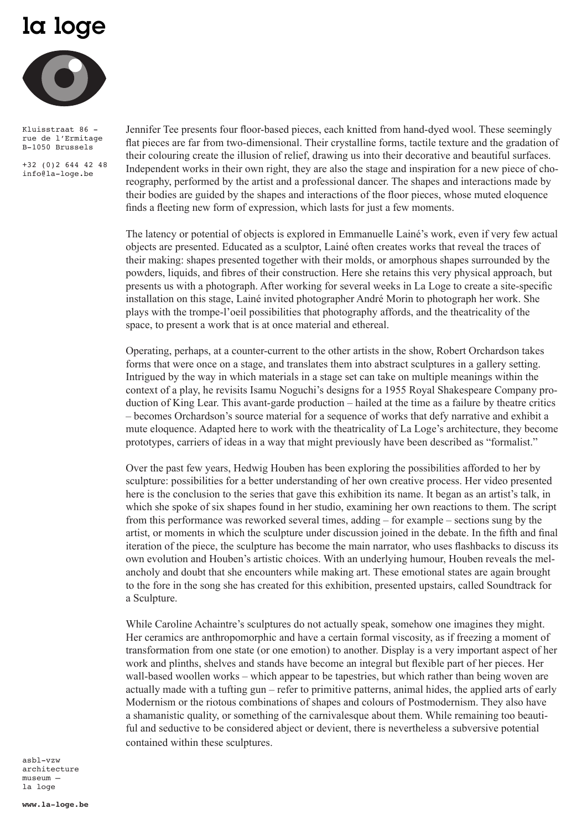## la loge



Kluisstraat 86 rue de l'Ermitage B-1050 Brussels

+32 (0)2 644 42 48 info@la-loge.be

Jennifer Tee presents four floor-based pieces, each knitted from hand-dyed wool. These seemingly flat pieces are far from two-dimensional. Their crystalline forms, tactile texture and the gradation of their colouring create the illusion of relief, drawing us into their decorative and beautiful surfaces. Independent works in their own right, they are also the stage and inspiration for a new piece of choreography, performed by the artist and a professional dancer. The shapes and interactions made by their bodies are guided by the shapes and interactions of the floor pieces, whose muted eloquence finds a fleeting new form of expression, which lasts for just a few moments.

The latency or potential of objects is explored in Emmanuelle Lainé's work, even if very few actual objects are presented. Educated as a sculptor, Lainé often creates works that reveal the traces of their making: shapes presented together with their molds, or amorphous shapes surrounded by the powders, liquids, and fibres of their construction. Here she retains this very physical approach, but presents us with a photograph. After working for several weeks in La Loge to create a site-specific installation on this stage, Lainé invited photographer André Morin to photograph her work. She plays with the trompe-l'oeil possibilities that photography affords, and the theatricality of the space, to present a work that is at once material and ethereal.

Operating, perhaps, at a counter-current to the other artists in the show, Robert Orchardson takes forms that were once on a stage, and translates them into abstract sculptures in a gallery setting. Intrigued by the way in which materials in a stage set can take on multiple meanings within the context of a play, he revisits Isamu Noguchi's designs for a 1955 Royal Shakespeare Company production of King Lear. This avant-garde production – hailed at the time as a failure by theatre critics – becomes Orchardson's source material for a sequence of works that defy narrative and exhibit a mute eloquence. Adapted here to work with the theatricality of La Loge's architecture, they become prototypes, carriers of ideas in a way that might previously have been described as "formalist."

Over the past few years, Hedwig Houben has been exploring the possibilities afforded to her by sculpture: possibilities for a better understanding of her own creative process. Her video presented here is the conclusion to the series that gave this exhibition its name. It began as an artist's talk, in which she spoke of six shapes found in her studio, examining her own reactions to them. The script from this performance was reworked several times, adding – for example – sections sung by the artist, or moments in which the sculpture under discussion joined in the debate. In the fifth and final iteration of the piece, the sculpture has become the main narrator, who uses flashbacks to discuss its own evolution and Houben's artistic choices. With an underlying humour, Houben reveals the melancholy and doubt that she encounters while making art. These emotional states are again brought to the fore in the song she has created for this exhibition, presented upstairs, called Soundtrack for a Sculpture.

While Caroline Achaintre's sculptures do not actually speak, somehow one imagines they might. Her ceramics are anthropomorphic and have a certain formal viscosity, as if freezing a moment of transformation from one state (or one emotion) to another. Display is a very important aspect of her work and plinths, shelves and stands have become an integral but flexible part of her pieces. Her wall-based woollen works – which appear to be tapestries, but which rather than being woven are actually made with a tufting gun – refer to primitive patterns, animal hides, the applied arts of early Modernism or the riotous combinations of shapes and colours of Postmodernism. They also have a shamanistic quality, or something of the carnivalesque about them. While remaining too beautiful and seductive to be considered abject or devient, there is nevertheless a subversive potential contained within these sculptures.

asbl-vzw architecture museum – la loge